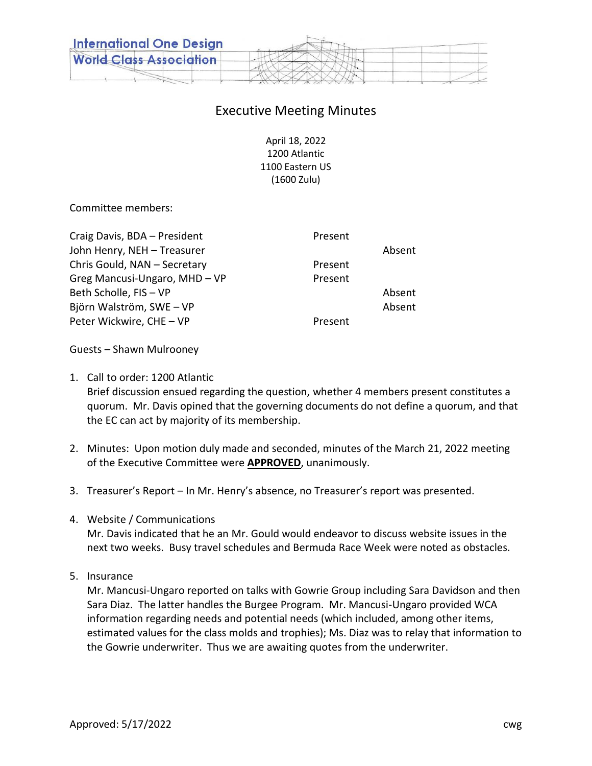

## Executive Meeting Minutes

April 18, 2022 1200 Atlantic 1100 Eastern US (1600 Zulu)

Committee members:

| Craig Davis, BDA - President  | Present |        |
|-------------------------------|---------|--------|
| John Henry, NEH - Treasurer   |         | Absent |
| Chris Gould, NAN - Secretary  | Present |        |
| Greg Mancusi-Ungaro, MHD - VP | Present |        |
| Beth Scholle, FIS - VP        |         | Absent |
| Björn Walström, SWE - VP      |         | Absent |
| Peter Wickwire, CHE - VP      | Present |        |
|                               |         |        |

Guests – Shawn Mulrooney

1. Call to order: 1200 Atlantic

Brief discussion ensued regarding the question, whether 4 members present constitutes a quorum. Mr. Davis opined that the governing documents do not define a quorum, and that the EC can act by majority of its membership.

- 2. Minutes: Upon motion duly made and seconded, minutes of the March 21, 2022 meeting of the Executive Committee were **APPROVED**, unanimously.
- 3. Treasurer's Report In Mr. Henry's absence, no Treasurer's report was presented.
- 4. Website / Communications

Mr. Davis indicated that he an Mr. Gould would endeavor to discuss website issues in the next two weeks. Busy travel schedules and Bermuda Race Week were noted as obstacles.

5. Insurance

Mr. Mancusi-Ungaro reported on talks with Gowrie Group including Sara Davidson and then Sara Diaz. The latter handles the Burgee Program. Mr. Mancusi-Ungaro provided WCA information regarding needs and potential needs (which included, among other items, estimated values for the class molds and trophies); Ms. Diaz was to relay that information to the Gowrie underwriter. Thus we are awaiting quotes from the underwriter.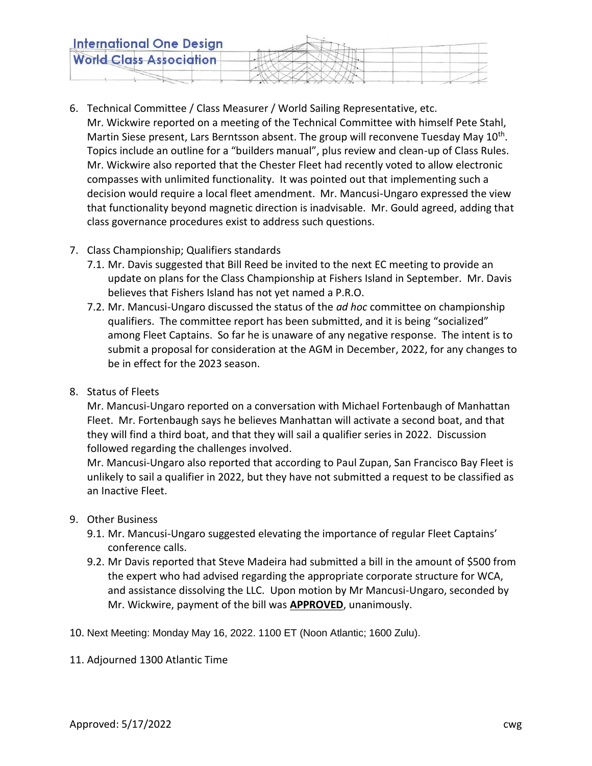| <b>International One Design</b> |  |
|---------------------------------|--|
| <b>World Class Association</b>  |  |
|                                 |  |

- 6. Technical Committee / Class Measurer / World Sailing Representative, etc. Mr. Wickwire reported on a meeting of the Technical Committee with himself Pete Stahl, Martin Siese present, Lars Berntsson absent. The group will reconvene Tuesday May 10<sup>th</sup>. Topics include an outline for a "builders manual", plus review and clean-up of Class Rules. Mr. Wickwire also reported that the Chester Fleet had recently voted to allow electronic compasses with unlimited functionality. It was pointed out that implementing such a decision would require a local fleet amendment. Mr. Mancusi-Ungaro expressed the view that functionality beyond magnetic direction is inadvisable. Mr. Gould agreed, adding that class governance procedures exist to address such questions.
- 7. Class Championship; Qualifiers standards
	- 7.1. Mr. Davis suggested that Bill Reed be invited to the next EC meeting to provide an update on plans for the Class Championship at Fishers Island in September. Mr. Davis believes that Fishers Island has not yet named a P.R.O.
	- 7.2. Mr. Mancusi-Ungaro discussed the status of the *ad hoc* committee on championship qualifiers. The committee report has been submitted, and it is being "socialized" among Fleet Captains. So far he is unaware of any negative response. The intent is to submit a proposal for consideration at the AGM in December, 2022, for any changes to be in effect for the 2023 season.
- 8. Status of Fleets

Mr. Mancusi-Ungaro reported on a conversation with Michael Fortenbaugh of Manhattan Fleet. Mr. Fortenbaugh says he believes Manhattan will activate a second boat, and that they will find a third boat, and that they will sail a qualifier series in 2022. Discussion followed regarding the challenges involved.

Mr. Mancusi-Ungaro also reported that according to Paul Zupan, San Francisco Bay Fleet is unlikely to sail a qualifier in 2022, but they have not submitted a request to be classified as an Inactive Fleet.

- 9. Other Business
	- 9.1. Mr. Mancusi-Ungaro suggested elevating the importance of regular Fleet Captains' conference calls.
	- 9.2. Mr Davis reported that Steve Madeira had submitted a bill in the amount of \$500 from the expert who had advised regarding the appropriate corporate structure for WCA, and assistance dissolving the LLC. Upon motion by Mr Mancusi-Ungaro, seconded by Mr. Wickwire, payment of the bill was **APPROVED**, unanimously.
- 10. Next Meeting: Monday May 16, 2022. 1100 ET (Noon Atlantic; 1600 Zulu).
- 11. Adjourned 1300 Atlantic Time